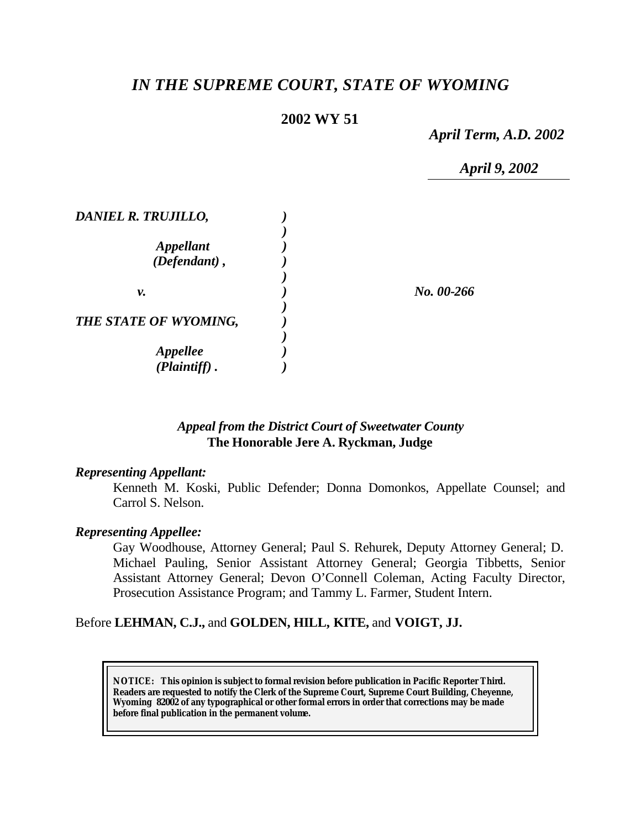# *IN THE SUPREME COURT, STATE OF WYOMING*

# **2002 WY 51**

*April Term, A.D. 2002*

*April 9, 2002*

| DANIEL R. TRUJILLO,                        |            |
|--------------------------------------------|------------|
| <i><b>Appellant</b></i><br>$(Defendant)$ , |            |
| ν.                                         | No. 00-266 |
| THE STATE OF WYOMING,                      |            |
| <i><b>Appellee</b></i>                     |            |
| (Plaintiff)                                |            |

## *Appeal from the District Court of Sweetwater County* **The Honorable Jere A. Ryckman, Judge**

### *Representing Appellant:*

Kenneth M. Koski, Public Defender; Donna Domonkos, Appellate Counsel; and Carrol S. Nelson.

### *Representing Appellee:*

Gay Woodhouse, Attorney General; Paul S. Rehurek, Deputy Attorney General; D. Michael Pauling, Senior Assistant Attorney General; Georgia Tibbetts, Senior Assistant Attorney General; Devon O'Connell Coleman, Acting Faculty Director, Prosecution Assistance Program; and Tammy L. Farmer, Student Intern.

## Before **LEHMAN, C.J.,** and **GOLDEN, HILL, KITE,** and **VOIGT, JJ.**

**NOTICE:** *This opinion is subject to formal revision before publication in Pacific Reporter Third. Readers are requested to notify the Clerk of the Supreme Court, Supreme Court Building, Cheyenne, Wyoming 82002 of any typographical or other formal errors in order that corrections may be made before final publication in the permanent volume.*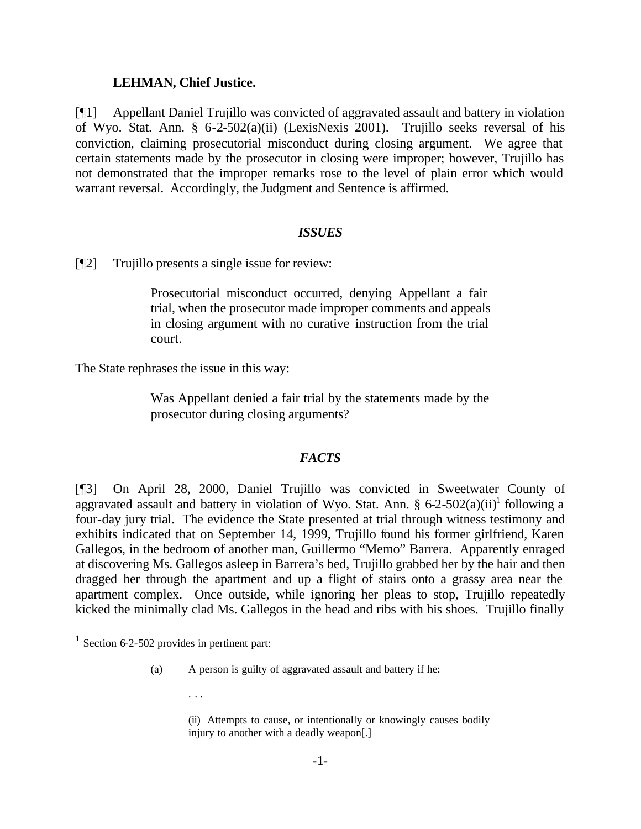#### **LEHMAN, Chief Justice.**

[¶1] Appellant Daniel Trujillo was convicted of aggravated assault and battery in violation of Wyo. Stat. Ann. § 6-2-502(a)(ii) (LexisNexis 2001). Trujillo seeks reversal of his conviction, claiming prosecutorial misconduct during closing argument. We agree that certain statements made by the prosecutor in closing were improper; however, Trujillo has not demonstrated that the improper remarks rose to the level of plain error which would warrant reversal. Accordingly, the Judgment and Sentence is affirmed.

### *ISSUES*

[¶2] Trujillo presents a single issue for review:

Prosecutorial misconduct occurred, denying Appellant a fair trial, when the prosecutor made improper comments and appeals in closing argument with no curative instruction from the trial court.

The State rephrases the issue in this way:

Was Appellant denied a fair trial by the statements made by the prosecutor during closing arguments?

### *FACTS*

[¶3] On April 28, 2000, Daniel Trujillo was convicted in Sweetwater County of aggravated assault and battery in violation of Wyo. Stat. Ann. § 6-2-502(a)(ii)<sup>1</sup> following a four-day jury trial. The evidence the State presented at trial through witness testimony and exhibits indicated that on September 14, 1999, Trujillo found his former girlfriend, Karen Gallegos, in the bedroom of another man, Guillermo "Memo" Barrera. Apparently enraged at discovering Ms. Gallegos asleep in Barrera's bed, Trujillo grabbed her by the hair and then dragged her through the apartment and up a flight of stairs onto a grassy area near the apartment complex. Once outside, while ignoring her pleas to stop, Trujillo repeatedly kicked the minimally clad Ms. Gallegos in the head and ribs with his shoes. Trujillo finally

l

- (a) A person is guilty of aggravated assault and battery if he:
	- . . .

(ii) Attempts to cause, or intentionally or knowingly causes bodily injury to another with a deadly weapon[.]

<sup>&</sup>lt;sup>1</sup> Section 6-2-502 provides in pertinent part: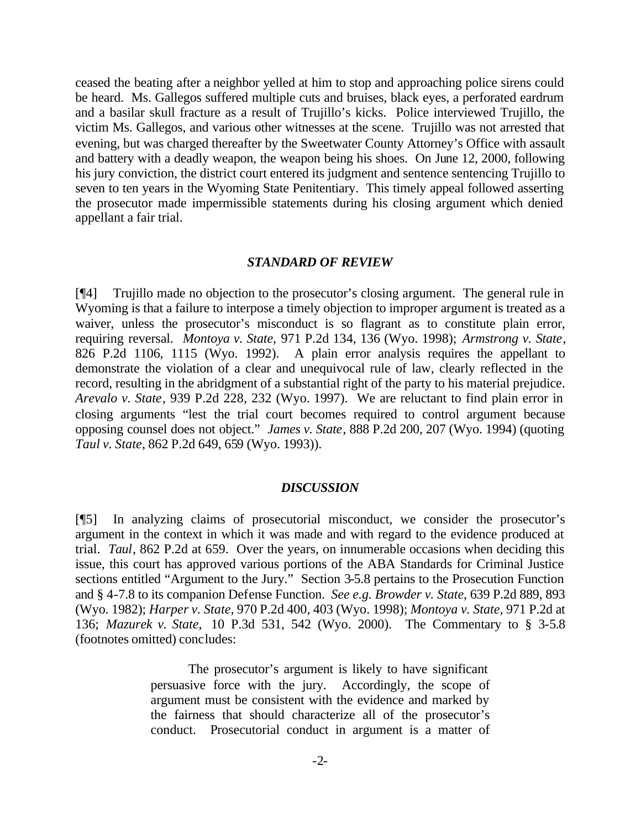ceased the beating after a neighbor yelled at him to stop and approaching police sirens could be heard. Ms. Gallegos suffered multiple cuts and bruises, black eyes, a perforated eardrum and a basilar skull fracture as a result of Trujillo's kicks. Police interviewed Trujillo, the victim Ms. Gallegos, and various other witnesses at the scene. Trujillo was not arrested that evening, but was charged thereafter by the Sweetwater County Attorney's Office with assault and battery with a deadly weapon, the weapon being his shoes. On June 12, 2000, following his jury conviction, the district court entered its judgment and sentence sentencing Trujillo to seven to ten years in the Wyoming State Penitentiary. This timely appeal followed asserting the prosecutor made impermissible statements during his closing argument which denied appellant a fair trial.

#### *STANDARD OF REVIEW*

[¶4] Trujillo made no objection to the prosecutor's closing argument. The general rule in Wyoming is that a failure to interpose a timely objection to improper argument is treated as a waiver, unless the prosecutor's misconduct is so flagrant as to constitute plain error, requiring reversal. *Montoya v. State,* 971 P.2d 134, 136 (Wyo. 1998); *Armstrong v. State*, 826 P.2d 1106, 1115 (Wyo. 1992). A plain error analysis requires the appellant to demonstrate the violation of a clear and unequivocal rule of law, clearly reflected in the record, resulting in the abridgment of a substantial right of the party to his material prejudice. *Arevalo v. State*, 939 P.2d 228, 232 (Wyo. 1997). We are reluctant to find plain error in closing arguments "lest the trial court becomes required to control argument because opposing counsel does not object." *James v. State*, 888 P.2d 200, 207 (Wyo. 1994) (quoting *Taul v. State*, 862 P.2d 649, 659 (Wyo. 1993)).

#### *DISCUSSION*

[¶5] In analyzing claims of prosecutorial misconduct, we consider the prosecutor's argument in the context in which it was made and with regard to the evidence produced at trial. *Taul*, 862 P.2d at 659. Over the years, on innumerable occasions when deciding this issue, this court has approved various portions of the ABA Standards for Criminal Justice sections entitled "Argument to the Jury." Section 3-5.8 pertains to the Prosecution Function and § 4-7.8 to its companion Defense Function. *See e.g. Browder v. State,* 639 P.2d 889, 893 (Wyo. 1982); *Harper v. State,* 970 P.2d 400, 403 (Wyo. 1998); *Montoya v. State,* 971 P.2d at 136; *Mazurek v. State,* 10 P.3d 531, 542 (Wyo. 2000). The Commentary to § 3-5.8 (footnotes omitted) concludes:

> The prosecutor's argument is likely to have significant persuasive force with the jury. Accordingly, the scope of argument must be consistent with the evidence and marked by the fairness that should characterize all of the prosecutor's conduct. Prosecutorial conduct in argument is a matter of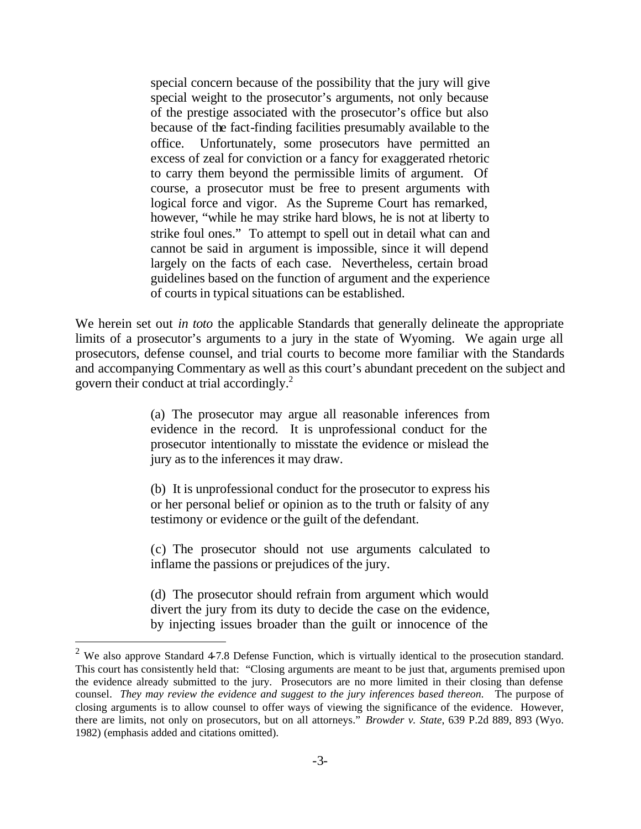special concern because of the possibility that the jury will give special weight to the prosecutor's arguments, not only because of the prestige associated with the prosecutor's office but also because of the fact-finding facilities presumably available to the office. Unfortunately, some prosecutors have permitted an excess of zeal for conviction or a fancy for exaggerated rhetoric to carry them beyond the permissible limits of argument. Of course, a prosecutor must be free to present arguments with logical force and vigor. As the Supreme Court has remarked, however, "while he may strike hard blows, he is not at liberty to strike foul ones." To attempt to spell out in detail what can and cannot be said in argument is impossible, since it will depend largely on the facts of each case. Nevertheless, certain broad guidelines based on the function of argument and the experience of courts in typical situations can be established.

We herein set out *in toto* the applicable Standards that generally delineate the appropriate limits of a prosecutor's arguments to a jury in the state of Wyoming. We again urge all prosecutors, defense counsel, and trial courts to become more familiar with the Standards and accompanying Commentary as well as this court's abundant precedent on the subject and govern their conduct at trial accordingly.<sup>2</sup>

> (a) The prosecutor may argue all reasonable inferences from evidence in the record. It is unprofessional conduct for the prosecutor intentionally to misstate the evidence or mislead the jury as to the inferences it may draw.

> (b) It is unprofessional conduct for the prosecutor to express his or her personal belief or opinion as to the truth or falsity of any testimony or evidence or the guilt of the defendant.

> (c) The prosecutor should not use arguments calculated to inflame the passions or prejudices of the jury.

> (d) The prosecutor should refrain from argument which would divert the jury from its duty to decide the case on the evidence, by injecting issues broader than the guilt or innocence of the

l

<sup>&</sup>lt;sup>2</sup> We also approve Standard 4-7.8 Defense Function, which is virtually identical to the prosecution standard. This court has consistently held that: "Closing arguments are meant to be just that, arguments premised upon the evidence already submitted to the jury. Prosecutors are no more limited in their closing than defense counsel. *They may review the evidence and suggest to the jury inferences based thereon*. The purpose of closing arguments is to allow counsel to offer ways of viewing the significance of the evidence. However, there are limits, not only on prosecutors, but on all attorneys." *Browder v. State*, 639 P.2d 889, 893 (Wyo. 1982) (emphasis added and citations omitted).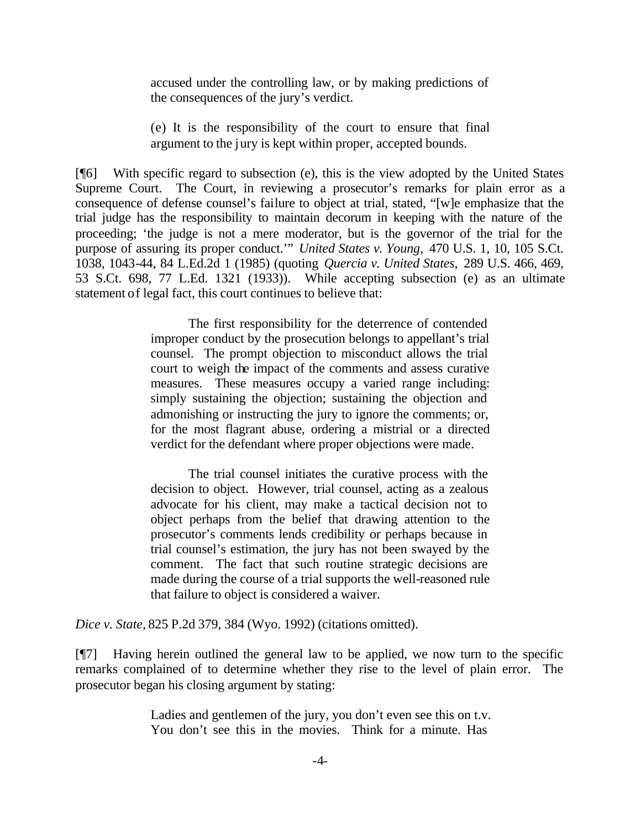accused under the controlling law, or by making predictions of the consequences of the jury's verdict.

(e) It is the responsibility of the court to ensure that final argument to the jury is kept within proper, accepted bounds.

[¶6] With specific regard to subsection (e), this is the view adopted by the United States Supreme Court. The Court, in reviewing a prosecutor's remarks for plain error as a consequence of defense counsel's failure to object at trial, stated, "[w]e emphasize that the trial judge has the responsibility to maintain decorum in keeping with the nature of the proceeding; 'the judge is not a mere moderator, but is the governor of the trial for the purpose of assuring its proper conduct.'" *United States v. Young,* 470 U.S. 1, 10, 105 S.Ct. 1038, 1043-44, 84 L.Ed.2d 1 (1985) (quoting *Quercia v. United States,* 289 U.S. 466, 469, 53 S.Ct. 698, 77 L.Ed. 1321 (1933)). While accepting subsection (e) as an ultimate statement of legal fact, this court continues to believe that:

> The first responsibility for the deterrence of contended improper conduct by the prosecution belongs to appellant's trial counsel. The prompt objection to misconduct allows the trial court to weigh the impact of the comments and assess curative measures. These measures occupy a varied range including: simply sustaining the objection; sustaining the objection and admonishing or instructing the jury to ignore the comments; or, for the most flagrant abuse, ordering a mistrial or a directed verdict for the defendant where proper objections were made.

> The trial counsel initiates the curative process with the decision to object. However, trial counsel, acting as a zealous advocate for his client, may make a tactical decision not to object perhaps from the belief that drawing attention to the prosecutor's comments lends credibility or perhaps because in trial counsel's estimation, the jury has not been swayed by the comment. The fact that such routine strategic decisions are made during the course of a trial supports the well-reasoned rule that failure to object is considered a waiver.

*Dice v. State,* 825 P.2d 379, 384 (Wyo. 1992) (citations omitted).

[¶7] Having herein outlined the general law to be applied, we now turn to the specific remarks complained of to determine whether they rise to the level of plain error. The prosecutor began his closing argument by stating:

> Ladies and gentlemen of the jury, you don't even see this on t.v. You don't see this in the movies. Think for a minute. Has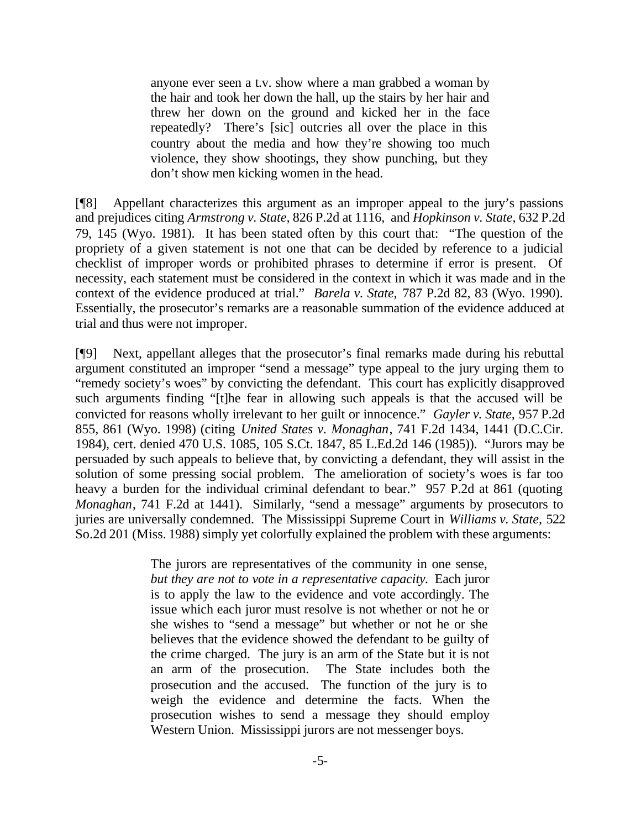anyone ever seen a t.v. show where a man grabbed a woman by the hair and took her down the hall, up the stairs by her hair and threw her down on the ground and kicked her in the face repeatedly? There's [sic] outcries all over the place in this country about the media and how they're showing too much violence, they show shootings, they show punching, but they don't show men kicking women in the head.

[¶8] Appellant characterizes this argument as an improper appeal to the jury's passions and prejudices citing *Armstrong v. State,* 826 P.2d at 1116, and *Hopkinson v. State,* 632 P.2d 79, 145 (Wyo. 1981). It has been stated often by this court that: "The question of the propriety of a given statement is not one that can be decided by reference to a judicial checklist of improper words or prohibited phrases to determine if error is present. Of necessity, each statement must be considered in the context in which it was made and in the context of the evidence produced at trial." *Barela v. State,* 787 P.2d 82, 83 (Wyo. 1990). Essentially, the prosecutor's remarks are a reasonable summation of the evidence adduced at trial and thus were not improper.

[¶9] Next, appellant alleges that the prosecutor's final remarks made during his rebuttal argument constituted an improper "send a message" type appeal to the jury urging them to "remedy society's woes" by convicting the defendant. This court has explicitly disapproved such arguments finding "[t]he fear in allowing such appeals is that the accused will be convicted for reasons wholly irrelevant to her guilt or innocence." *Gayler v. State,* 957 P.2d 855, 861 (Wyo. 1998) (citing *United States v. Monaghan*, 741 F.2d 1434, 1441 (D.C.Cir. 1984), cert. denied 470 U.S. 1085, 105 S.Ct. 1847, 85 L.Ed.2d 146 (1985)). "Jurors may be persuaded by such appeals to believe that, by convicting a defendant, they will assist in the solution of some pressing social problem. The amelioration of society's woes is far too heavy a burden for the individual criminal defendant to bear." 957 P.2d at 861 (quoting *Monaghan*, 741 F.2d at 1441). Similarly, "send a message" arguments by prosecutors to juries are universally condemned. The Mississippi Supreme Court in *Williams v. State,* 522 So.2d 201 (Miss. 1988) simply yet colorfully explained the problem with these arguments:

> The jurors are representatives of the community in one sense, *but they are not to vote in a representative capacity.* Each juror is to apply the law to the evidence and vote accordingly. The issue which each juror must resolve is not whether or not he or she wishes to "send a message" but whether or not he or she believes that the evidence showed the defendant to be guilty of the crime charged. The jury is an arm of the State but it is not an arm of the prosecution. The State includes both the prosecution and the accused. The function of the jury is to weigh the evidence and determine the facts. When the prosecution wishes to send a message they should employ Western Union. Mississippi jurors are not messenger boys.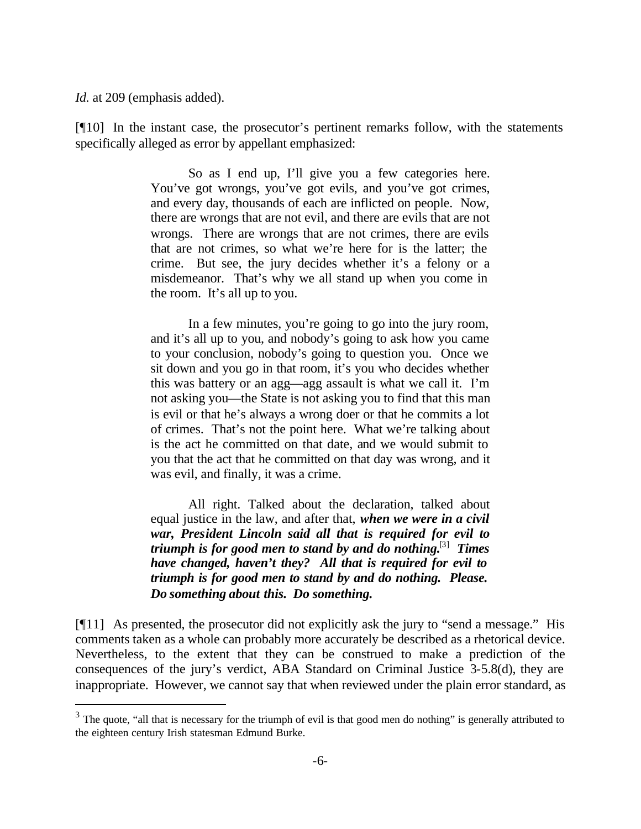*Id.* at 209 (emphasis added).

l

[¶10] In the instant case, the prosecutor's pertinent remarks follow, with the statements specifically alleged as error by appellant emphasized:

> So as I end up, I'll give you a few categories here. You've got wrongs, you've got evils, and you've got crimes, and every day, thousands of each are inflicted on people. Now, there are wrongs that are not evil, and there are evils that are not wrongs. There are wrongs that are not crimes, there are evils that are not crimes, so what we're here for is the latter; the crime. But see, the jury decides whether it's a felony or a misdemeanor. That's why we all stand up when you come in the room. It's all up to you.

> In a few minutes, you're going to go into the jury room, and it's all up to you, and nobody's going to ask how you came to your conclusion, nobody's going to question you. Once we sit down and you go in that room, it's you who decides whether this was battery or an agg—agg assault is what we call it. I'm not asking you—the State is not asking you to find that this man is evil or that he's always a wrong doer or that he commits a lot of crimes. That's not the point here. What we're talking about is the act he committed on that date, and we would submit to you that the act that he committed on that day was wrong, and it was evil, and finally, it was a crime.

> All right. Talked about the declaration, talked about equal justice in the law, and after that, *when we were in a civil war, President Lincoln said all that is required for evil to triumph is for good men to stand by and do nothing.*[3]  *Times have changed, haven't they? All that is required for evil to triumph is for good men to stand by and do nothing. Please. Do something about this. Do something.*

[¶11] As presented, the prosecutor did not explicitly ask the jury to "send a message." His comments taken as a whole can probably more accurately be described as a rhetorical device. Nevertheless, to the extent that they can be construed to make a prediction of the consequences of the jury's verdict, ABA Standard on Criminal Justice 3-5.8(d), they are inappropriate. However, we cannot say that when reviewed under the plain error standard, as

 $3$  The quote, "all that is necessary for the triumph of evil is that good men do nothing" is generally attributed to the eighteen century Irish statesman Edmund Burke.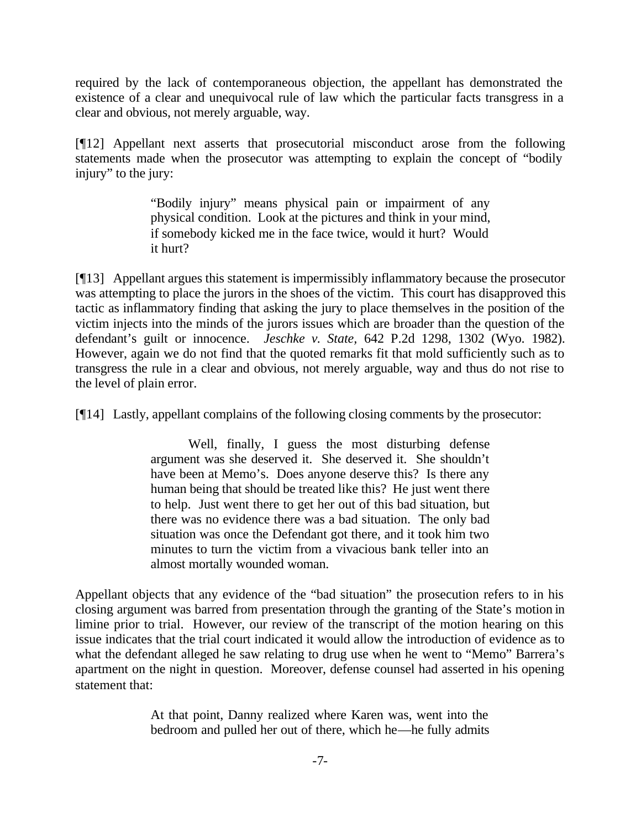required by the lack of contemporaneous objection, the appellant has demonstrated the existence of a clear and unequivocal rule of law which the particular facts transgress in a clear and obvious, not merely arguable, way.

[¶12] Appellant next asserts that prosecutorial misconduct arose from the following statements made when the prosecutor was attempting to explain the concept of "bodily injury" to the jury:

> "Bodily injury" means physical pain or impairment of any physical condition. Look at the pictures and think in your mind, if somebody kicked me in the face twice, would it hurt? Would it hurt?

[¶13] Appellant argues this statement is impermissibly inflammatory because the prosecutor was attempting to place the jurors in the shoes of the victim. This court has disapproved this tactic as inflammatory finding that asking the jury to place themselves in the position of the victim injects into the minds of the jurors issues which are broader than the question of the defendant's guilt or innocence. *Jeschke v. State,* 642 P.2d 1298, 1302 (Wyo. 1982). However, again we do not find that the quoted remarks fit that mold sufficiently such as to transgress the rule in a clear and obvious, not merely arguable, way and thus do not rise to the level of plain error.

[¶14] Lastly, appellant complains of the following closing comments by the prosecutor:

Well, finally, I guess the most disturbing defense argument was she deserved it. She deserved it. She shouldn't have been at Memo's. Does anyone deserve this? Is there any human being that should be treated like this? He just went there to help. Just went there to get her out of this bad situation, but there was no evidence there was a bad situation. The only bad situation was once the Defendant got there, and it took him two minutes to turn the victim from a vivacious bank teller into an almost mortally wounded woman.

Appellant objects that any evidence of the "bad situation" the prosecution refers to in his closing argument was barred from presentation through the granting of the State's motion in limine prior to trial. However, our review of the transcript of the motion hearing on this issue indicates that the trial court indicated it would allow the introduction of evidence as to what the defendant alleged he saw relating to drug use when he went to "Memo" Barrera's apartment on the night in question. Moreover, defense counsel had asserted in his opening statement that:

> At that point, Danny realized where Karen was, went into the bedroom and pulled her out of there, which he—he fully admits